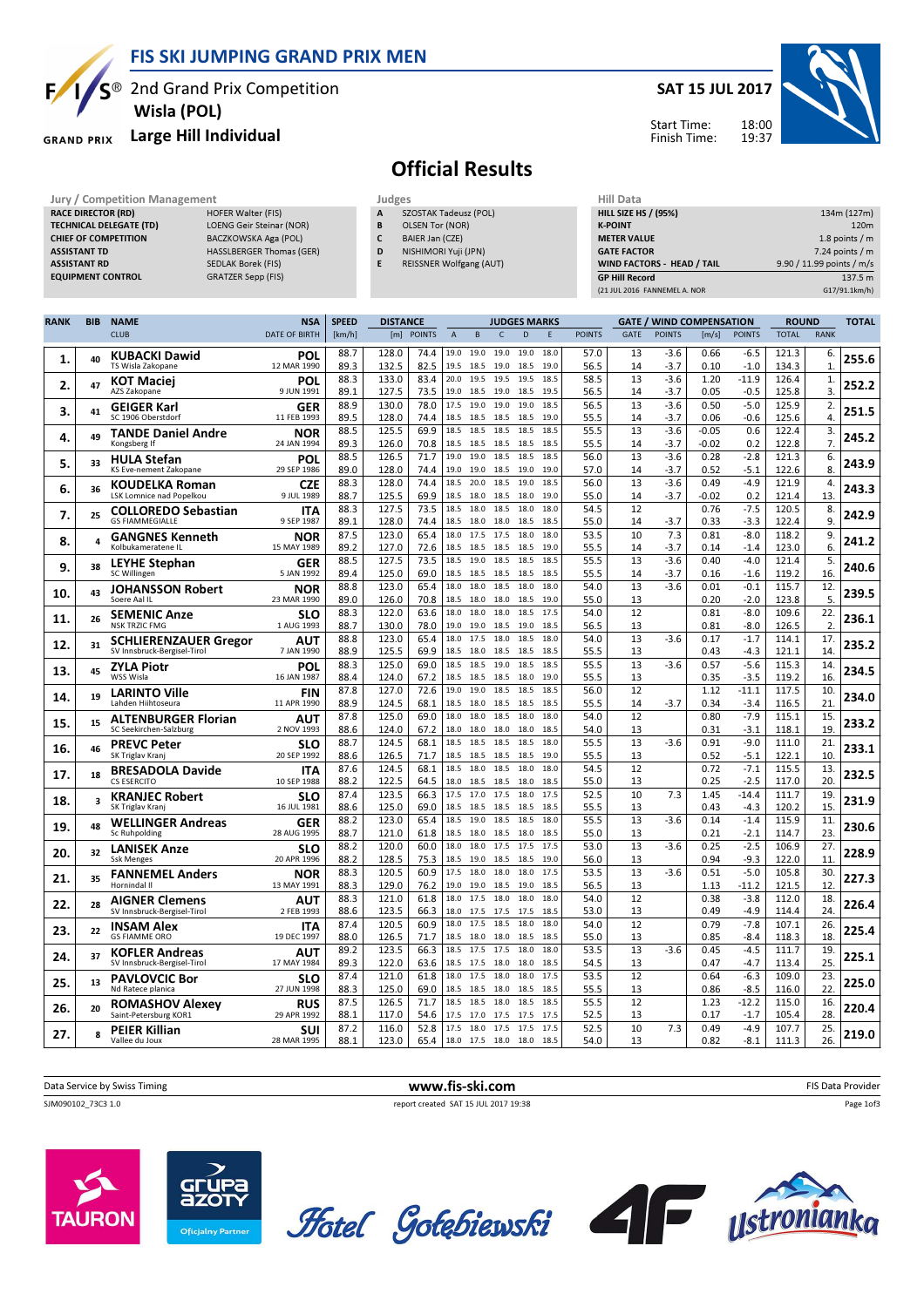FIS SKI JUMPING GRAND PRIX MEN

S<sup>®</sup> 2nd Grand Prix Competition Wisla (POL)

### GRAND PRIX Large Hill Individual

TECHNICAL DELEGATE (TD) LOENG Geir Steinar (NOR) CHIEF OF COMPETITION BACZKOWSKA Aga (POL) ASSISTANT TD **HASSLBERGER Thomas (GER)** ASSISTANT RD SEDLAK Borek (FIS) EQUIPMENT CONTROL GRATZER Sepp (FIS)

**RACE DIRECTOR (RD)** 

Ę

#### SAT 15 JUL 2017



#### Start Time: Finish Time:

# Official Results

Jury / Competition Management Judges<br>
RACE DIRECTOR (RD) HOFER Walter (FIS) A SZ **SZOSTAK Tadeusz (POL)** 

- B OLSEN Tor (NOR)
- C BAIER Jan (CZE)
- D NISHIMORI Yuji (JPN)
- E REISSNER Wolfgang (AUT)

| нііі рата                    |                           |
|------------------------------|---------------------------|
| <b>HILL SIZE HS / (95%)</b>  | 134m (127m)               |
| <b>K-POINT</b>               | 120 <sub>m</sub>          |
| <b>METER VALUE</b>           | 1.8 points $/m$           |
| <b>GATE FACTOR</b>           | $7.24$ points / m         |
| WIND FACTORS - HEAD / TAIL   | 9.90 / 11.99 points / m/s |
| <b>GP Hill Record</b>        | 137.5 m                   |
| (21 JUL 2016 FANNEMEL A. NOR | G17/91.1km/h)             |

| <b>RANK</b> | <b>BIB</b> | <b>NAME</b>                                  | <b>NSA</b>                | <b>SPEED</b> | <b>DISTANCE</b> |               |                |              |              | <b>JUDGES MARKS</b> |              |               |             | <b>GATE / WIND COMPENSATION</b> |                 |                   | <b>ROUND</b>   |             | <b>TOTAL</b> |
|-------------|------------|----------------------------------------------|---------------------------|--------------|-----------------|---------------|----------------|--------------|--------------|---------------------|--------------|---------------|-------------|---------------------------------|-----------------|-------------------|----------------|-------------|--------------|
|             |            | <b>CLUB</b>                                  | <b>DATE OF BIRTH</b>      | [km/h]       | [m]             | <b>POINTS</b> | $\overline{A}$ | B            | $\mathsf{C}$ | D                   | F            | <b>POINTS</b> | <b>GATE</b> | <b>POINTS</b>                   | [m/s]           | <b>POINTS</b>     | <b>TOTAL</b>   | <b>RANK</b> |              |
| 1.          | 40         | <b>KUBACKI Dawid</b><br>TS Wisla Zakopane    | <b>POL</b><br>12 MAR 1990 | 88.7<br>89.3 | 128.0<br>132.5  | 74.4<br>82.5  | 19.0<br>19.5   | 19.0<br>18.5 | 19.0<br>19.0 | 19.0<br>18.5        | 18.0<br>19.0 | 57.0<br>56.5  | 13<br>14    | -3.6<br>$-3.7$                  | 0.66<br>0.10    | $-6.5$<br>$-1.0$  | 121.3<br>134.3 | 6.<br>1.    | 255.6        |
| 2.          | 47         | <b>KOT Maciej</b><br>AZS Zakopane            | POL<br>9 JUN 1991         | 88.3<br>89.1 | 133.0<br>127.5  | 83.4<br>73.5  | 20.0<br>19.0   | 19.5<br>18.5 | 19.5<br>19.0 | 19.5<br>18.5        | 18.5<br>19.5 | 58.5<br>56.5  | 13<br>14    | $-3.6$<br>$-3.7$                | 1.20<br>0.05    | $-11.9$<br>$-0.5$ | 126.4<br>125.8 | 1.<br>3.    | 252.2        |
|             |            | <b>GEIGER Karl</b>                           | GER                       | 88.9         | 130.0           | 78.0          | 17.5           | 19.0         | 19.0         | 19.0                | 18.5         | 56.5          | 13          | $-3.6$                          | 0.50            | $-5.0$            | 125.9          | 2.          |              |
| 3.          | 41         | SC 1906 Oberstdorf                           | 11 FEB 1993               | 89.5         | 128.0           | 74.4          | 18.5           | 18.5         | 18.5         | 18.5                | 19.0         | 55.5          | 14          | $-3.7$                          | 0.06            | $-0.6$            | 125.6          | 4.          | 251.5        |
| 4.          | 49         | TANDE Daniel Andre                           | <b>NOR</b>                | 88.5         | 125.5           | 69.9          | 18.5           | 18.5         | 18.5         | 18.5                | 18.5         | 55.5          | 13          | $-3.6$                          | $-0.05$         | 0.6               | 122.4          | 3.          | 245.2        |
|             |            | Kongsberg If                                 | 24 JAN 1994               | 89.3<br>88.5 | 126.0<br>126.5  | 70.8<br>71.7  | 18.5<br>19.0   | 18.5<br>19.0 | 18.5<br>18.5 | 18.5<br>18.5        | 18.5<br>18.5 | 55.5<br>56.0  | 14<br>13    | $-3.7$<br>$-3.6$                | $-0.02$<br>0.28 | 0.2<br>$-2.8$     | 122.8<br>121.3 | 7.          |              |
| 5.          | 33         | <b>HULA Stefan</b><br>KS Eve-nement Zakopane | <b>POL</b><br>29 SEP 1986 | 89.0         | 128.0           | 74.4          | 19.0           | 19.0         | 18.5         | 19.0                | 19.0         | 57.0          | 14          | $-3.7$                          | 0.52            | $-5.1$            | 122.6          | 6.<br>8     | 243.9        |
|             |            | <b>KOUDELKA Roman</b>                        | <b>CZE</b>                | 88.3         | 128.0           | 74.4          | 18.5           | 20.0         | 18.5         | 19.0                | 18.5         | 56.0          | 13          | $-3.6$                          | 0.49            | $-4.9$            | 121.9          | 4.          |              |
| 6.          | 36         | LSK Lomnice nad Popelkou                     | 9 JUL 1989                | 88.7         | 125.5           | 69.9          | 18.5           | 18.0         | 18.5         | 18.0                | 19.0         | 55.0          | 14          | $-3.7$                          | $-0.02$         | 0.2               | 121.4          | 13          | 243.3        |
| 7.          | 25         | <b>COLLOREDO Sebastian</b>                   | <b>ITA</b>                | 88.3         | 127.5           | 73.5          | 18.5           | 18.0         | 18.5         | 18.0                | 18.0         | 54.5          | 12          |                                 | 0.76            | $-7.5$            | 120.5          | 8.          | 242.9        |
|             |            | <b>GS FIAMMEGIALLE</b>                       | 9 SEP 1987                | 89.1<br>87.5 | 128.0<br>123.0  | 74.4<br>65.4  | 18.5<br>18.0   | 18.0<br>17.5 | 18.0<br>17.5 | 18.5<br>18.0        | 18.5<br>18.0 | 55.0<br>53.5  | 14<br>10    | $-3.7$<br>7.3                   | 0.33<br>0.81    | $-3.3$<br>$-8.0$  | 122.4<br>118.2 | 9<br>9.     |              |
| 8.          | 4          | <b>GANGNES Kenneth</b><br>Kolbukameratene IL | NOR<br>15 MAY 1989        | 89.2         | 127.0           | 72.6          | 18.5           | 18.5         | 18.5         | 18.5                | 19.0         | 55.5          | 14          | $-3.7$                          | 0.14            | $-1.4$            | 123.0          | 6.          | 241.2        |
|             |            | <b>LEYHE Stephan</b>                         | GER                       | 88.5         | 127.5           | 73.5          | 18.5           | 19.0         | 18.5         | 18.5                | 18.5         | 55.5          | 13          | $-3.6$                          | 0.40            | $-4.0$            | 121.4          | 5.          |              |
| 9.          | 38         | SC Willingen                                 | 5 JAN 1992                | 89.4         | 125.0           | 69.0          | 18.5           | 18.5         | 18.5         | 18.5                | 18.5         | 55.5          | 14          | $-3.7$                          | 0.16            | $-1.6$            | 119.2          | 16          | 240.6        |
| 10.         | 43         | <b>JOHANSSON Robert</b>                      | <b>NOR</b>                | 88.8         | 123.0           | 65.4          | 18.0           | 18.0         | 18.5         | 18.0                | 18.0         | 54.0          | 13          | $-3.6$                          | 0.01            | $-0.1$            | 115.7          | 12.         | 239.5        |
|             |            | Soere Aal IL                                 | 23 MAR 1990               | 89.0         | 126.0           | 70.8          | 18.5           | 18.0         | 18.0         | 18.5                | 19.0<br>17.5 | 55.0          | 13          |                                 | 0.20            | $-2.0$            | 123.8          | 5.          |              |
| 11.         | 26         | <b>SEMENIC Anze</b><br><b>NSK TRZIC FMG</b>  | <b>SLO</b><br>1 AUG 1993  | 88.3<br>88.7 | 122.0<br>130.0  | 63.6<br>78.0  | 18.0<br>19.0   | 18.0<br>19.0 | 18.0<br>18.5 | 18.5<br>19.0        | 18.5         | 54.0<br>56.5  | 12<br>13    |                                 | 0.81<br>0.81    | $-8.0$<br>$-8.0$  | 109.6<br>126.5 | 22.<br>2.   | 236.1        |
|             |            | <b>SCHLIERENZAUER Gregor</b>                 | AUT                       | 88.8         | 123.0           | 65.4          | 18.0           | 17.5         | 18.0         | 18.5                | 18.0         | 54.0          | 13          | $-3.6$                          | 0.17            | $-1.7$            | 114.1          | 17.         |              |
| 12.         | 31         | SV Innsbruck-Bergisel-Tirol                  | 7 JAN 1990                | 88.9         | 125.5           | 69.9          | 18.5           | 18.0         | 18.5 18.5    |                     | 18.5         | 55.5          | 13          |                                 | 0.43            | $-4.3$            | 121.1          | 14          | 235.2        |
| 13.         | 45         | <b>ZYLA Piotr</b>                            | <b>POL</b>                | 88.3         | 125.0           | 69.0          | 18.5           | 18.5         | 19.0         | 18.5                | 18.5         | 55.5          | 13          | $-3.6$                          | 0.57            | $-5.6$            | 115.3          | 14.         | 234.5        |
|             |            | WSS Wisla                                    | 16 JAN 1987               | 88.4         | 124.0           | 67.2          | 18.5           | 18.5         | 18.5         | 18.0                | 19.0         | 55.5          | 13          |                                 | 0.35            | $-3.5$            | 119.2          | 16          |              |
| 14.         | 19         | <b>LARINTO Ville</b><br>Lahden Hiihtoseura   | <b>FIN</b><br>11 APR 1990 | 87.8<br>88.9 | 127.0<br>124.5  | 72.6<br>68.1  | 19.0<br>18.5   | 19.0<br>18.0 | 18.5<br>18.5 | 18.5<br>18.5        | 18.5<br>18.5 | 56.0<br>55.5  | 12<br>14    | $-3.7$                          | 1.12<br>0.34    | $-11.1$<br>$-3.4$ | 117.5<br>116.5 | 10.<br>21   | 234.0        |
|             |            | <b>ALTENBURGER Florian</b>                   | AUT                       | 87.8         | 125.0           | 69.0          | 18.0           | 18.0         | 18.5         | 18.0                | 18.0         | 54.0          | 12          |                                 | 0.80            | $-7.9$            | 115.1          | 15.         |              |
| 15.         | 15         | SC Seekirchen-Salzburg                       | 2 NOV 1993                | 88.6         | 124.0           | 67.2          | 18.0           | 18.0         | 18.0 18.0    |                     | 18.5         | 54.0          | 13          |                                 | 0.31            | $-3.1$            | 118.1          | 19          | 233.2        |
| 16.         | 46         | <b>PREVC Peter</b>                           | <b>SLO</b>                | 88.7         | 124.5           | 68.1          | 18.5           | 18.5         | 18.5         | 18.5                | 18.0         | 55.5          | 13          | $-3.6$                          | 0.91            | $-9.0$            | 111.0          | 21.         | 233.1        |
|             |            | SK Triglav Kranj                             | 20 SEP 1992               | 88.6         | 126.5           | 71.7          | 18.5           | 18.5         | 18.5         | 18.5                | 19.0         | 55.5          | 13          |                                 | 0.52            | $-5.1$            | 122.1          | 10          |              |
| 17.         | 18         | <b>BRESADOLA Davide</b><br>CS ESERCITO       | ITA<br>10 SEP 1988        | 87.6         | 124.5           | 68.1          | 18.5<br>18.0   | 18.0         | 18.5         | 18.0                | 18.0<br>18.5 | 54.5          | 12<br>13    |                                 | 0.72            | $-7.1$<br>$-2.5$  | 115.5<br>117.0 | 13.<br>20.  | 232.5        |
|             |            | <b>KRANJEC Robert</b>                        | <b>SLO</b>                | 88.2<br>87.4 | 122.5<br>123.5  | 64.5<br>66.3  | 17.5           | 18.5<br>17.0 | 18.5<br>17.5 | 18.0<br>18.0        | 17.5         | 55.0<br>52.5  | 10          | 7.3                             | 0.25<br>1.45    | $-14.4$           | 111.7          | 19          |              |
| 18.         | 3          | SK Triglav Kranj                             | 16 JUL 1981               | 88.6         | 125.0           | 69.0          | 18.5           | 18.5         | 18.5         | 18.5                | 18.5         | 55.5          | 13          |                                 | 0.43            | -4.3              | 120.2          | 15          | 231.9        |
| 19.         | 48         | <b>WELLINGER Andreas</b>                     | GER                       | 88.2         | 123.0           | 65.4          | 18.5           | 19.0         | 18.5         | 18.5                | 18.0         | 55.5          | 13          | $-3.6$                          | 0.14            | $-1.4$            | 115.9          | 11.         | 230.6        |
|             |            | Sc Ruhpolding                                | 28 AUG 1995               | 88.7         | 121.0           | 61.8          | 18.5           | 18.0         | 18.5         | 18.0                | 18.5         | 55.0          | 13          |                                 | 0.21            | $-2.1$            | 114.7          | 23          |              |
| 20.         | 32         | <b>LANISEK Anze</b><br><b>Ssk Menges</b>     | <b>SLO</b><br>20 APR 1996 | 88.2<br>88.2 | 120.0<br>128.5  | 60.0<br>75.3  | 18.0<br>18.5   | 18.0<br>19.0 | 17.5<br>18.5 | 17.5<br>18.5        | 17.5<br>19.0 | 53.0<br>56.0  | 13<br>13    | $-3.6$                          | 0.25<br>0.94    | $-2.5$<br>$-9.3$  | 106.9<br>122.0 | 27.<br>11   | 228.9        |
|             |            | <b>FANNEMEL Anders</b>                       | <b>NOR</b>                | 88.3         | 120.5           | 60.9          | 17.5           | 18.0         | 18.0         | 18.0                | 17.5         | 53.5          | 13          | $-3.6$                          | 0.51            | $-5.0$            | 105.8          | 30.         |              |
| 21.         | 35         | Hornindal II                                 | 13 MAY 1991               | 88.3         | 129.0           | 76.2          | 19.0           | 19.0         | 18.5         | 19.0                | 18.5         | 56.5          | 13          |                                 | 1.13            | $-11.2$           | 121.5          | 12          | 227.3        |
| 22.         | 28         | <b>AIGNER Clemens</b>                        | AUT                       | 88.3         | 121.0           | 61.8          | 18.0           | 17.5         | 18.0         | 18.0                | 18.0         | 54.0          | 12          |                                 | 0.38            | $-3.8$            | 112.0          | 18.         | 226.4        |
|             |            | SV Innsbruck-Bergisel-Tirol                  | 2 FEB 1993                | 88.6         | 123.5           | 66.3          | 18.0           | 17.5         | 17.5         | 17.5                | 18.5         | 53.0          | 13          |                                 | 0.49            | $-4.9$            | 114.4          | 24          |              |
| 23.         | 22         | <b>INSAM Alex</b><br><b>GS FIAMME ORO</b>    | <b>ITA</b><br>19 DEC 1997 | 87.4<br>88.0 | 120.5<br>126.5  | 60.9<br>71.7  | 18.0<br>18.5   | 17.5<br>18.0 | 18.5<br>18.0 | 18.0<br>18.5        | 18.0<br>18.5 | 54.0<br>55.0  | 12<br>13    |                                 | 0.79<br>0.85    | $-7.8$<br>$-8.4$  | 107.1<br>118.3 | 26.<br>18   | 225.4        |
|             |            | KOFLER Andreas                               | AUT                       | 89.2         | 123.5           | 66.3          | 18.5           | 17.5         | 17.5         | 18.0                | 18.0         | 53.5          | 13          | $-3.6$                          | 0.45            | $-4.5$            | 111.7          | 19          |              |
| 24.         | 37         | SV Innsbruck-Bergisel-Tirol                  | 17 MAY 1984               | 89.3         | 122.0           | 63.6          | 18.5           | 17.5         | 18.0         | 18.0                | 18.5         | 54.5          | 13          |                                 | 0.47            | $-4.7$            | 113.4          | 25          | 225.1        |
| 25.         | 13         | <b>PAVLOVCIC Bor</b>                         | <b>SLO</b>                | 87.4         | 121.0           | 61.8          | 18.0           | 17.5         | 18.0         | 18.0                | 17.5         | 53.5          | 12          |                                 | 0.64            | $-6.3$            | 109.0          | 23.         | 225.0        |
|             |            | Nd Ratece planica                            | 27 JUN 1998               | 88.3         | 125.0           | 69.0          | 18.5           | 18.5         | 18.0         | 18.5                | 18.5         | 55.5          | 13          |                                 | 0.86            | $-8.5$            | 116.0          | 22          |              |
| 26.         | 20         | <b>ROMASHOV Alexey</b>                       | <b>RUS</b>                | 87.5<br>88.1 | 126.5           | 71.7          | 18.5<br>17.5   | 18.5         | 18.0         | 18.5                | 18.5         | 55.5          | 12          |                                 | 1.23<br>0.17    | $-12.2$           | 115.0<br>105.4 | 16.<br>28   | 220.4        |
|             |            | Saint-Petersburg KOR1                        | 29 APR 1992<br>suı        | 87.2         | 117.0<br>116.0  | 54.6<br>52.8  | 17.5           | 17.0<br>18.0 | 17.5<br>17.5 | 17.5<br>17.5        | 17.5<br>17.5 | 52.5<br>52.5  | 13<br>10    | 7.3                             | 0.49            | $-1.7$<br>$-4.9$  | 107.7          | 25.         |              |
| 27.         | 8          | <b>PEIER Killian</b><br>Vallee du Joux       | 28 MAR 1995               | 88.1         | 123.0           | 65.4          | 18.0           | 17.5 18.0    |              | 18.0                | 18.5         | 54.0          | 13          |                                 | 0.82            | $-8.1$            | 111.3          | 26.         | 219.0        |

| Data Service by Swiss Timing | www.fis-ski.com                      | FIS Data Provider |
|------------------------------|--------------------------------------|-------------------|
| SJM090102_73C3 1.0           | report created SAT 15 JUL 2017 19:38 | Page 1of3         |
|                              |                                      |                   |
|                              |                                      |                   |



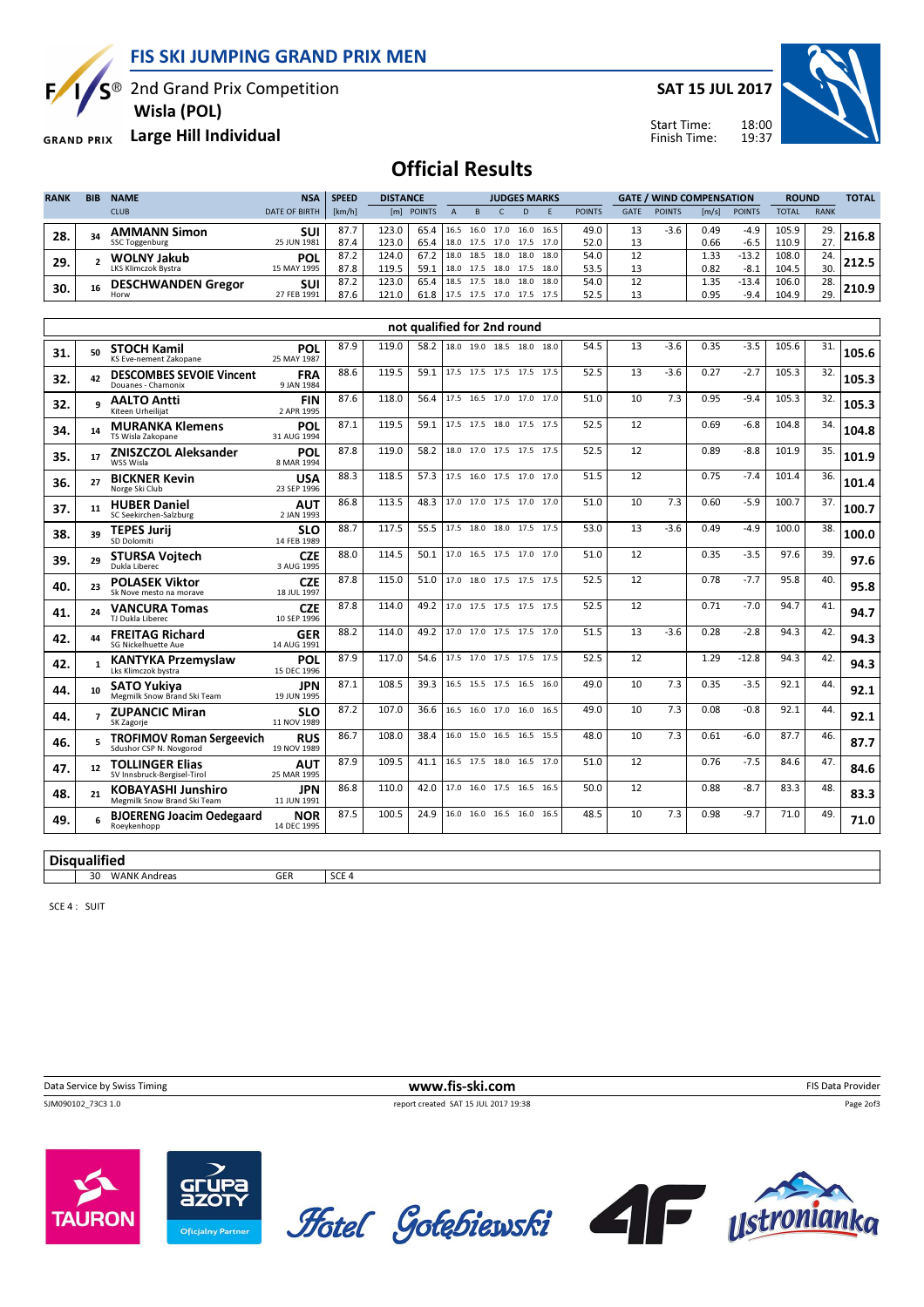FIS SKI JUMPING GRAND PRIX MEN

S<sup>®</sup> 2nd Grand Prix Competition

Wisla (POL)

SAT 15 JUL 2017

Start Time: Finish Time:



GRAND PRIX Large Hill Individual

E

## Official Results

| <b>RANK</b> | <b>BIB</b> | <b>NAME</b>                | <b>NSA</b>           | <b>SPEED</b> | <b>DISTANCE</b> |               |      | <b>JUDGES MARKS</b> |      |      |      |               |             | <b>GATE / WIND COMPENSATION</b> |                       |               |              | <b>ROUND</b> |       |
|-------------|------------|----------------------------|----------------------|--------------|-----------------|---------------|------|---------------------|------|------|------|---------------|-------------|---------------------------------|-----------------------|---------------|--------------|--------------|-------|
|             |            | <b>CLUB</b>                | <b>DATE OF BIRTH</b> | [km/h]       | [m]             | <b>POINTS</b> |      |                     |      |      |      | <b>POINTS</b> | <b>GATE</b> | <b>POINTS</b>                   | $\lfloor m/s \rfloor$ | <b>POINTS</b> | <b>TOTAL</b> | <b>RANK</b>  |       |
| 28.         | 34         | <b>AMMANN Simon</b>        | SUI                  | 87.7         | 123.0           | 65.4          | 16.5 | 16.0                | 17.0 | 16.0 | 16.5 | 49.0          |             | $-3.6$                          | 0.49                  | $-4.9$        | 105.9        | 29.          | 216.8 |
|             |            | SSC Toggenburg             | 25 JUN 1981          | 87.4         | 123.0           | 65.4          | 18.0 | 17.5                | 17.0 | 17.5 | 17.0 | 52.0          | 13          |                                 | 0.66                  | $-6.5$        | 110.9        | 27.          |       |
| 29.         |            | <b>WOLNY Jakub</b>         | <b>POL</b>           | 87.2         | 124.0           | 67.2          | 18.0 | 18.5                | 18.0 | 18.0 | 18.0 | 54.0          |             |                                 | 1.33                  | $-13.2$       | 108.0        | 24.          |       |
|             |            | <b>LKS Klimczok Bystra</b> | 15 MAY 1995          | 87.8         | 119.5           | 59.1          | 18.0 | 17.5                | 18.0 | 17.5 | 18.0 | 53.5          | 13          |                                 | 0.82                  | $-8.1$        | 104.5        | 30.          |       |
| 30.         | 16         | <b>DESCHWANDEN Gregor</b>  | SUI                  | 87.2         | 123.0           | 65.4          | 18.5 | 17.5                | 18.0 | 18.0 | 18.0 | 54.0          | 12          |                                 | 1.35                  | $-13.4$       | 106.0        | 28.          | 210.9 |
|             |            | Horw                       | 27 FEB 1991          | 87.6         | 121.0           | 61.8          |      | 17.5                | 17.0 | 17.5 |      | 52.5          | 12          |                                 | 0.95                  | $-9.4$        | 104.9        | 29.          |       |

|                     |                          |                                                             |                           |      |       | not qualified for 2nd round |                          |                          |      |      |    |        |      |         |       |     |       |
|---------------------|--------------------------|-------------------------------------------------------------|---------------------------|------|-------|-----------------------------|--------------------------|--------------------------|------|------|----|--------|------|---------|-------|-----|-------|
| 31.                 | 50                       | <b>STOCH Kamil</b><br>KS Eve-nement Zakopane                | POL<br>25 MAY 1987        | 87.9 | 119.0 | 58.2                        |                          | 18.0 19.0 18.5 18.0 18.0 |      | 54.5 | 13 | $-3.6$ | 0.35 | $-3.5$  | 105.6 | 31. | 105.6 |
| 32.                 | 42                       | <b>DESCOMBES SEVOIE Vincent</b><br>Douanes - Chamonix       | <b>FRA</b><br>9 JAN 1984  | 88.6 | 119.5 | 59.1                        | 17.5 17.5 17.5 17.5 17.5 |                          |      | 52.5 | 13 | $-3.6$ | 0.27 | $-2.7$  | 105.3 | 32. | 105.3 |
| 32.                 | q                        | <b>AALTO Antti</b><br>Kiteen Urheilijat                     | <b>FIN</b><br>2 APR 1995  | 87.6 | 118.0 | 56.4                        |                          | 17.5 16.5 17.0 17.0 17.0 |      | 51.0 | 10 | 7.3    | 0.95 | $-9.4$  | 105.3 | 32. | 105.3 |
| 34.                 | 14                       | <b>MURANKA Klemens</b><br>TS Wisla Zakopane                 | POL<br>31 AUG 1994        | 87.1 | 119.5 | 59.1                        |                          | 17.5 17.5 18.0 17.5 17.5 |      | 52.5 | 12 |        | 0.69 | $-6.8$  | 104.8 | 34. | 104.8 |
| 35.                 | 17                       | <b>ZNISZCZOL Aleksander</b><br>WSS Wisla                    | POL<br>8 MAR 1994         | 87.8 | 119.0 | 58.2                        |                          | 18.0 17.0 17.5 17.5 17.5 |      | 52.5 | 12 |        | 0.89 | $-8.8$  | 101.9 | 35. | 101.9 |
| 36.                 | 27                       | <b>BICKNER Kevin</b><br>Norge Ski Club                      | <b>USA</b><br>23 SEP 1996 | 88.3 | 118.5 | 57.3                        |                          | 17.5 16.0 17.5 17.0 17.0 |      | 51.5 | 12 |        | 0.75 | $-7.4$  | 101.4 | 36. | 101.4 |
| 37.                 | 11                       | <b>HUBER Daniel</b><br>SC Seekirchen-Salzburg               | <b>AUT</b><br>2 JAN 1993  | 86.8 | 113.5 | 48.3                        |                          | 17.0 17.0 17.5 17.0 17.0 |      | 51.0 | 10 | 7.3    | 0.60 | $-5.9$  | 100.7 | 37. | 100.7 |
| 38.                 | 39                       | <b>TEPES Jurij</b><br>SD Dolomiti                           | <b>SLO</b><br>14 FEB 1989 | 88.7 | 117.5 | 55.5                        |                          | 17.5 18.0 18.0 17.5 17.5 |      | 53.0 | 13 | $-3.6$ | 0.49 | $-4.9$  | 100.0 | 38. | 100.0 |
| 39.                 | 29                       | <b>STURSA Voitech</b><br>Dukla Liberec                      | <b>CZE</b><br>3 AUG 1995  | 88.0 | 114.5 | 50.1                        |                          | 17.0 16.5 17.5 17.0 17.0 |      | 51.0 | 12 |        | 0.35 | $-3.5$  | 97.6  | 39. | 97.6  |
| 40.                 | 23                       | <b>POLASEK Viktor</b><br>Sk Nove mesto na morave            | <b>CZE</b><br>18 JUL 1997 | 87.8 | 115.0 | 51.0                        |                          | 17.0 18.0 17.5 17.5 17.5 |      | 52.5 | 12 |        | 0.78 | $-7.7$  | 95.8  | 40. | 95.8  |
| 41.                 | 24                       | <b>VANCURA Tomas</b><br>TJ Dukla Liberec                    | <b>CZE</b><br>10 SEP 1996 | 87.8 | 114.0 | 49.2                        |                          | 17.0 17.5 17.5 17.5 17.5 |      | 52.5 | 12 |        | 0.71 | $-7.0$  | 94.7  | 41. | 94.7  |
| 42.                 | 44                       | <b>FREITAG Richard</b><br><b>SG Nickelhuette Aue</b>        | <b>GER</b><br>14 AUG 1991 | 88.2 | 114.0 | 49.2                        |                          | 17.0 17.0 17.5 17.5 17.0 |      | 51.5 | 13 | $-3.6$ | 0.28 | $-2.8$  | 94.3  | 42. | 94.3  |
| 42.                 | $\mathbf{1}$             | <b>KANTYKA Przemyslaw</b><br>Lks Klimczok bystra            | POL<br>15 DEC 1996        | 87.9 | 117.0 | 54.6                        |                          | 17.5 17.0 17.5 17.5 17.5 |      | 52.5 | 12 |        | 1.29 | $-12.8$ | 94.3  | 42. | 94.3  |
| 44.                 | 10                       | <b>SATO Yukiva</b><br>Megmilk Snow Brand Ski Team           | <b>JPN</b><br>19 JUN 1995 | 87.1 | 108.5 | 39.3                        |                          | 16.5 15.5 17.5 16.5 16.0 |      | 49.0 | 10 | 7.3    | 0.35 | $-3.5$  | 92.1  | 44. | 92.1  |
| 44.                 | $\overline{\phantom{a}}$ | <b>ZUPANCIC Miran</b><br>SK Zagorje                         | <b>SLO</b><br>11 NOV 1989 | 87.2 | 107.0 | 36.6                        |                          | 16.5 16.0 17.0 16.0 16.5 |      | 49.0 | 10 | 7.3    | 0.08 | $-0.8$  | 92.1  | 44. | 92.1  |
| 46.                 |                          | <b>TROFIMOV Roman Sergeevich</b><br>Sdushor CSP N. Novgorod | <b>RUS</b><br>19 NOV 1989 | 86.7 | 108.0 | 38.4                        |                          | 16.0 15.0 16.5 16.5      | 15.5 | 48.0 | 10 | 7.3    | 0.61 | $-6.0$  | 87.7  | 46. | 87.7  |
| 47.                 | 12                       | <b>TOLLINGER Elias</b><br>SV Innsbruck-Bergisel-Tirol       | <b>AUT</b><br>25 MAR 1995 | 87.9 | 109.5 | 41.1                        |                          | 16.5 17.5 18.0 16.5 17.0 |      | 51.0 | 12 |        | 0.76 | $-7.5$  | 84.6  | 47. | 84.6  |
| 48.                 | 21                       | <b>KOBAYASHI Junshiro</b><br>Megmilk Snow Brand Ski Team    | <b>JPN</b><br>11 JUN 1991 | 86.8 | 110.0 | 42.0                        |                          | 17.0 16.0 17.5 16.5      | 16.5 | 50.0 | 12 |        | 0.88 | $-8.7$  | 83.3  | 48. | 83.3  |
| 49.                 |                          | <b>BJOERENG Joacim Oedegaard</b><br>Roeykenhopp             | <b>NOR</b><br>14 DEC 1995 | 87.5 | 100.5 | 24.9                        |                          | 16.0 16.0 16.5 16.0 16.5 |      | 48.5 | 10 | 7.3    | 0.98 | $-9.7$  | 71.0  | 49. | 71.0  |
| <b>Disqualified</b> |                          |                                                             |                           |      |       |                             |                          |                          |      |      |    |        |      |         |       |     |       |

30 WANK Andreas GER SCE 4

SCE 4 : SUIT

Data Service by Swiss Timing **WWW.fis-ski.com** FIS Data Provider<br>
SIM090102 73C3 1.0 Page 20f3 report created SAT 15 JUL 2017 19:38

Page 2of3